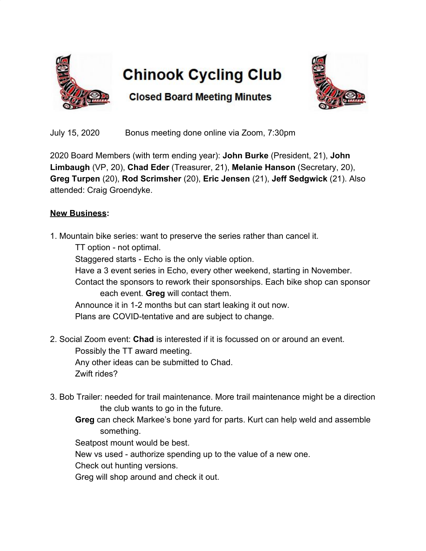

## **Chinook Cycling Club**



**Closed Board Meeting Minutes** 

July 15, 2020 Bonus meeting done online via Zoom, 7:30pm

2020 Board Members (with term ending year): **John Burke** (President, 21), **John Limbaugh** (VP, 20), **Chad Eder** (Treasurer, 21), **Melanie Hanson** (Secretary, 20), **Greg Turpen** (20), **Rod Scrimsher** (20), **Eric Jensen** (21), **Jeff Sedgwick** (21). Also attended: Craig Groendyke.

## **New Business:**

- 1. Mountain bike series: want to preserve the series rather than cancel it. TT option - not optimal. Staggered starts - Echo is the only viable option. Have a 3 event series in Echo, every other weekend, starting in November. Contact the sponsors to rework their sponsorships. Each bike shop can sponsor each event. **Greg** will contact them. Announce it in 1-2 months but can start leaking it out now. Plans are COVID-tentative and are subject to change.
- 2. Social Zoom event: **Chad** is interested if it is focussed on or around an event. Possibly the TT award meeting. Any other ideas can be submitted to Chad. Zwift rides?
- 3. Bob Trailer: needed for trail maintenance. More trail maintenance might be a direction the club wants to go in the future.
	- **Greg** can check Markee's bone yard for parts. Kurt can help weld and assemble something.

Seatpost mount would be best.

New vs used - authorize spending up to the value of a new one.

Check out hunting versions.

Greg will shop around and check it out.